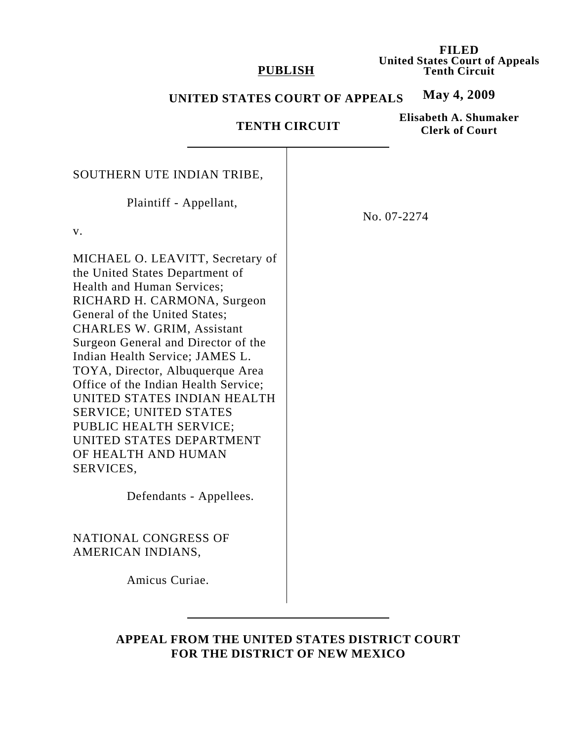### **PUBLISH**

**FILED United States Court of Appeals Tenth Circuit**

#### **May 4, 2009 UNITED STATES COURT OF APPEALS**

# **TENTH CIRCUIT**

**Elisabeth A. Shumaker Clerk of Court**

| SOUTHERN UTE INDIAN TRIBE,<br>Plaintiff - Appellant,<br>V.<br>MICHAEL O. LEAVITT, Secretary of<br>the United States Department of<br>Health and Human Services;<br>RICHARD H. CARMONA, Surgeon                                                                                                                                                                                     | No. 07-2274 |
|------------------------------------------------------------------------------------------------------------------------------------------------------------------------------------------------------------------------------------------------------------------------------------------------------------------------------------------------------------------------------------|-------------|
| General of the United States;<br><b>CHARLES W. GRIM, Assistant</b><br>Surgeon General and Director of the<br>Indian Health Service; JAMES L.<br>TOYA, Director, Albuquerque Area<br>Office of the Indian Health Service;<br>UNITED STATES INDIAN HEALTH<br><b>SERVICE; UNITED STATES</b><br>PUBLIC HEALTH SERVICE;<br>UNITED STATES DEPARTMENT<br>OF HEALTH AND HUMAN<br>SERVICES, |             |
| Defendants - Appellees.                                                                                                                                                                                                                                                                                                                                                            |             |
| NATIONAL CONGRESS OF<br>AMERICAN INDIANS,                                                                                                                                                                                                                                                                                                                                          |             |
| Amicus Curiae.                                                                                                                                                                                                                                                                                                                                                                     |             |

# **APPEAL FROM THE UNITED STATES DISTRICT COURT FOR THE DISTRICT OF NEW MEXICO**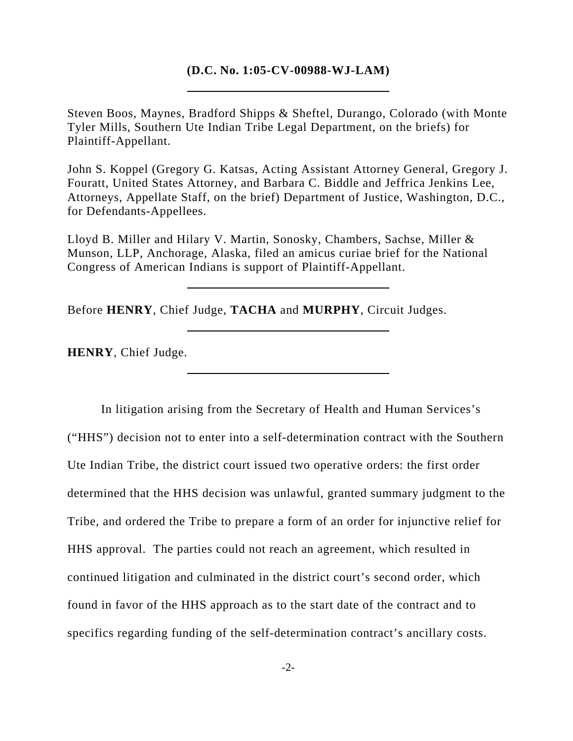### **(D.C. No. 1:05-CV-00988-WJ-LAM)**

Steven Boos, Maynes, Bradford Shipps & Sheftel, Durango, Colorado (with Monte Tyler Mills, Southern Ute Indian Tribe Legal Department, on the briefs) for Plaintiff-Appellant.

John S. Koppel (Gregory G. Katsas, Acting Assistant Attorney General, Gregory J. Fouratt, United States Attorney, and Barbara C. Biddle and Jeffrica Jenkins Lee, Attorneys, Appellate Staff, on the brief) Department of Justice, Washington, D.C., for Defendants-Appellees.

Lloyd B. Miller and Hilary V. Martin, Sonosky, Chambers, Sachse, Miller & Munson, LLP, Anchorage, Alaska, filed an amicus curiae brief for the National Congress of American Indians is support of Plaintiff-Appellant.

Before **HENRY**, Chief Judge, **TACHA** and **MURPHY**, Circuit Judges.

**HENRY**, Chief Judge.

In litigation arising from the Secretary of Health and Human Services's ("HHS") decision not to enter into a self-determination contract with the Southern Ute Indian Tribe, the district court issued two operative orders: the first order determined that the HHS decision was unlawful, granted summary judgment to the Tribe, and ordered the Tribe to prepare a form of an order for injunctive relief for HHS approval. The parties could not reach an agreement, which resulted in continued litigation and culminated in the district court's second order, which found in favor of the HHS approach as to the start date of the contract and to specifics regarding funding of the self-determination contract's ancillary costs.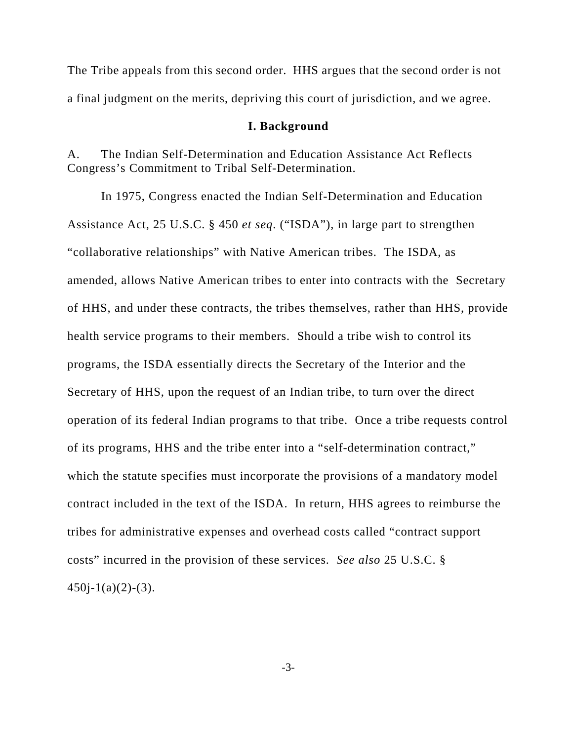The Tribe appeals from this second order. HHS argues that the second order is not a final judgment on the merits, depriving this court of jurisdiction, and we agree.

#### **I. Background**

A. The Indian Self-Determination and Education Assistance Act Reflects Congress's Commitment to Tribal Self-Determination.

In 1975, Congress enacted the Indian Self-Determination and Education Assistance Act, 25 U.S.C. § 450 *et seq*. ("ISDA"), in large part to strengthen "collaborative relationships" with Native American tribes. The ISDA, as amended, allows Native American tribes to enter into contracts with the Secretary of HHS, and under these contracts, the tribes themselves, rather than HHS, provide health service programs to their members. Should a tribe wish to control its programs, the ISDA essentially directs the Secretary of the Interior and the Secretary of HHS, upon the request of an Indian tribe, to turn over the direct operation of its federal Indian programs to that tribe. Once a tribe requests control of its programs, HHS and the tribe enter into a "self-determination contract," which the statute specifies must incorporate the provisions of a mandatory model contract included in the text of the ISDA. In return, HHS agrees to reimburse the tribes for administrative expenses and overhead costs called "contract support costs" incurred in the provision of these services. *See also* 25 U.S.C. §  $450j-1(a)(2)-(3)$ .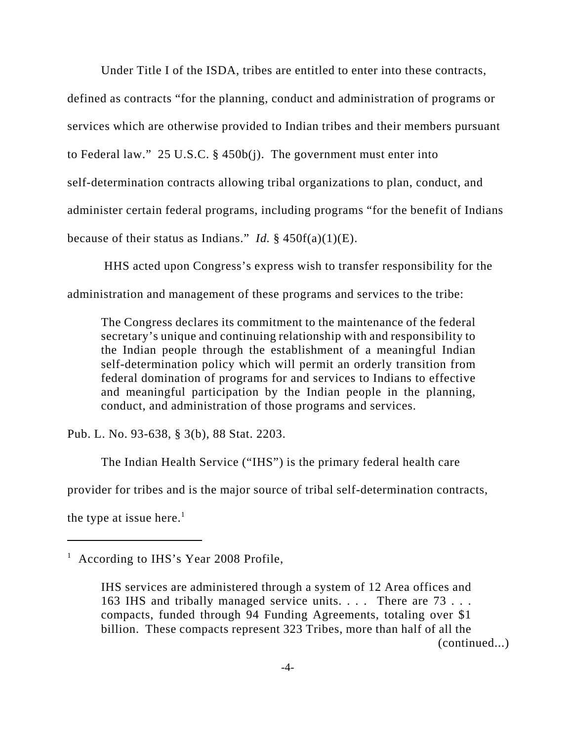Under Title I of the ISDA, tribes are entitled to enter into these contracts,

defined as contracts "for the planning, conduct and administration of programs or services which are otherwise provided to Indian tribes and their members pursuant to Federal law." 25 U.S.C. § 450b(j). The government must enter into self-determination contracts allowing tribal organizations to plan, conduct, and administer certain federal programs, including programs "for the benefit of Indians because of their status as Indians." *Id.* § 450f(a)(1)(E).

 HHS acted upon Congress's express wish to transfer responsibility for the administration and management of these programs and services to the tribe:

The Congress declares its commitment to the maintenance of the federal secretary's unique and continuing relationship with and responsibility to the Indian people through the establishment of a meaningful Indian self-determination policy which will permit an orderly transition from federal domination of programs for and services to Indians to effective and meaningful participation by the Indian people in the planning, conduct, and administration of those programs and services.

Pub. L. No. 93-638, § 3(b), 88 Stat. 2203.

The Indian Health Service ("IHS") is the primary federal health care

provider for tribes and is the major source of tribal self-determination contracts,

the type at issue here.<sup>1</sup>

<sup>&</sup>lt;sup>1</sup> According to IHS's Year 2008 Profile,

IHS services are administered through a system of 12 Area offices and 163 IHS and tribally managed service units. . . . There are 73 . . . compacts, funded through 94 Funding Agreements, totaling over \$1 billion. These compacts represent 323 Tribes, more than half of all the (continued...)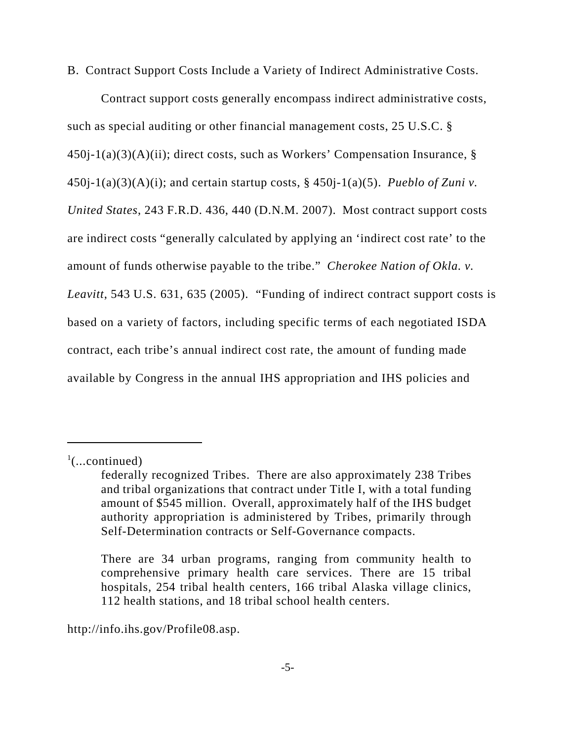B. Contract Support Costs Include a Variety of Indirect Administrative Costs.

Contract support costs generally encompass indirect administrative costs, such as special auditing or other financial management costs, 25 U.S.C. § 450j-1(a)(3)(A)(ii); direct costs, such as Workers' Compensation Insurance, § 450j-1(a)(3)(A)(i); and certain startup costs, § 450j-1(a)(5). *Pueblo of Zuni v*. *United States*, 243 F.R.D. 436, 440 (D.N.M. 2007). Most contract support costs are indirect costs "generally calculated by applying an 'indirect cost rate' to the amount of funds otherwise payable to the tribe." *Cherokee Nation of Okla. v. Leavitt*, 543 U.S. 631, 635 (2005). "Funding of indirect contract support costs is based on a variety of factors, including specific terms of each negotiated ISDA contract, each tribe's annual indirect cost rate, the amount of funding made available by Congress in the annual IHS appropriation and IHS policies and

http://info.ihs.gov/Profile08.asp.

 $\cdot$ <sup>1</sup>(...continued)

federally recognized Tribes. There are also approximately 238 Tribes and tribal organizations that contract under Title I, with a total funding amount of \$545 million. Overall, approximately half of the IHS budget authority appropriation is administered by Tribes, primarily through Self-Determination contracts or Self-Governance compacts.

There are 34 urban programs, ranging from community health to comprehensive primary health care services. There are 15 tribal hospitals, 254 tribal health centers, 166 tribal Alaska village clinics, 112 health stations, and 18 tribal school health centers.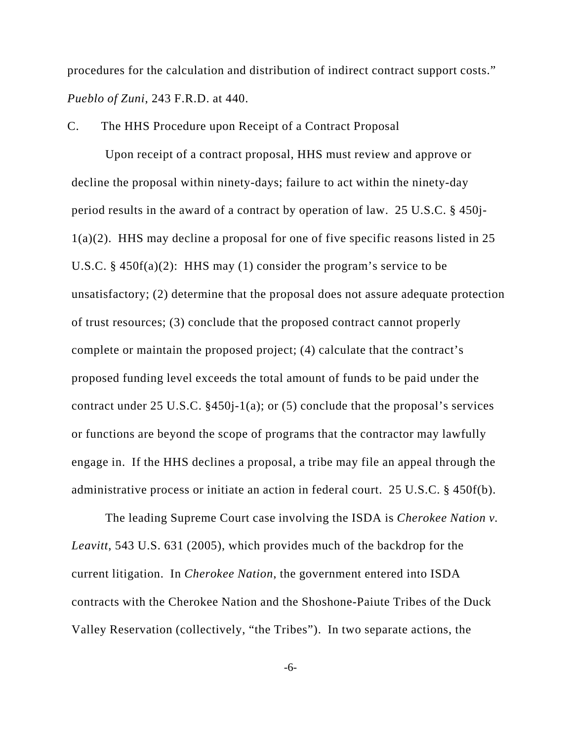procedures for the calculation and distribution of indirect contract support costs." *Pueblo of Zuni*, 243 F.R.D. at 440.

C. The HHS Procedure upon Receipt of a Contract Proposal

Upon receipt of a contract proposal, HHS must review and approve or decline the proposal within ninety-days; failure to act within the ninety-day period results in the award of a contract by operation of law. 25 U.S.C. § 450j-1(a)(2). HHS may decline a proposal for one of five specific reasons listed in 25 U.S.C. §  $450f(a)(2)$ : HHS may (1) consider the program's service to be unsatisfactory; (2) determine that the proposal does not assure adequate protection of trust resources; (3) conclude that the proposed contract cannot properly complete or maintain the proposed project; (4) calculate that the contract's proposed funding level exceeds the total amount of funds to be paid under the contract under 25 U.S.C. §450j-1(a); or (5) conclude that the proposal's services or functions are beyond the scope of programs that the contractor may lawfully engage in. If the HHS declines a proposal, a tribe may file an appeal through the administrative process or initiate an action in federal court. 25 U.S.C. § 450f(b).

 The leading Supreme Court case involving the ISDA is *Cherokee Nation v. Leavitt*, 543 U.S. 631 (2005), which provides much of the backdrop for the current litigation. In *Cherokee Nation*, the government entered into ISDA contracts with the Cherokee Nation and the Shoshone-Paiute Tribes of the Duck Valley Reservation (collectively, "the Tribes"). In two separate actions, the

-6-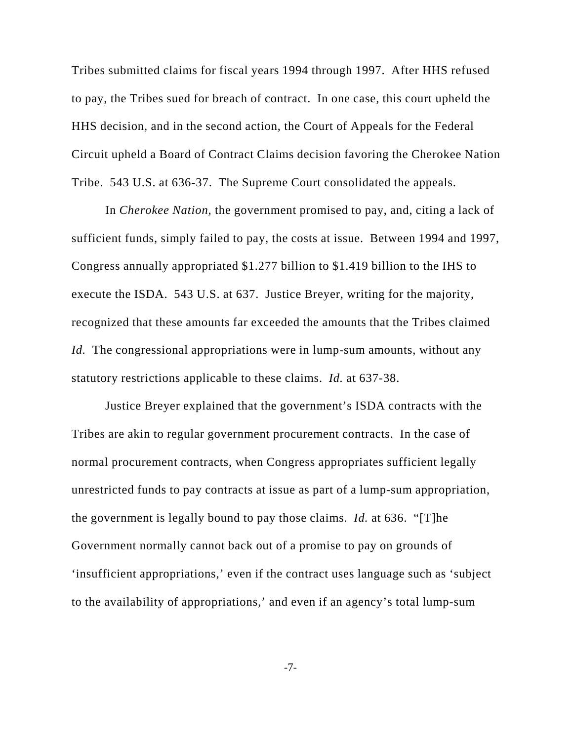Tribes submitted claims for fiscal years 1994 through 1997. After HHS refused to pay, the Tribes sued for breach of contract. In one case, this court upheld the HHS decision, and in the second action, the Court of Appeals for the Federal Circuit upheld a Board of Contract Claims decision favoring the Cherokee Nation Tribe. 543 U.S. at 636-37. The Supreme Court consolidated the appeals.

In *Cherokee Nation,* the government promised to pay, and, citing a lack of sufficient funds, simply failed to pay, the costs at issue. Between 1994 and 1997, Congress annually appropriated \$1.277 billion to \$1.419 billion to the IHS to execute the ISDA. 543 U.S. at 637. Justice Breyer, writing for the majority, recognized that these amounts far exceeded the amounts that the Tribes claimed *Id.* The congressional appropriations were in lump-sum amounts, without any statutory restrictions applicable to these claims. *Id.* at 637-38.

Justice Breyer explained that the government's ISDA contracts with the Tribes are akin to regular government procurement contracts. In the case of normal procurement contracts, when Congress appropriates sufficient legally unrestricted funds to pay contracts at issue as part of a lump-sum appropriation, the government is legally bound to pay those claims. *Id.* at 636. "[T]he Government normally cannot back out of a promise to pay on grounds of 'insufficient appropriations,' even if the contract uses language such as 'subject to the availability of appropriations,' and even if an agency's total lump-sum

-7-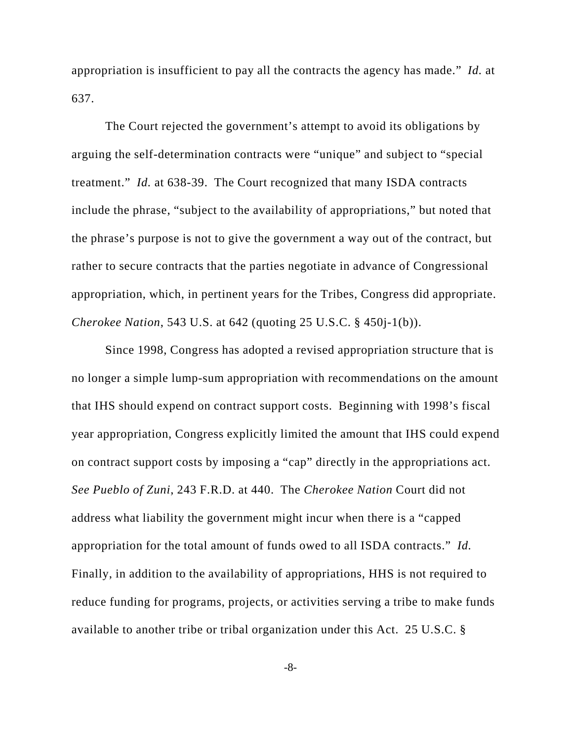appropriation is insufficient to pay all the contracts the agency has made." *Id.* at 637.

The Court rejected the government's attempt to avoid its obligations by arguing the self-determination contracts were "unique" and subject to "special treatment." *Id.* at 638-39. The Court recognized that many ISDA contracts include the phrase, "subject to the availability of appropriations," but noted that the phrase's purpose is not to give the government a way out of the contract, but rather to secure contracts that the parties negotiate in advance of Congressional appropriation, which, in pertinent years for the Tribes, Congress did appropriate. *Cherokee Nation*, 543 U.S. at 642 (quoting 25 U.S.C. § 450j-1(b)).

Since 1998, Congress has adopted a revised appropriation structure that is no longer a simple lump-sum appropriation with recommendations on the amount that IHS should expend on contract support costs. Beginning with 1998's fiscal year appropriation, Congress explicitly limited the amount that IHS could expend on contract support costs by imposing a "cap" directly in the appropriations act. *See Pueblo of Zuni*, 243 F.R.D. at 440. The *Cherokee Nation* Court did not address what liability the government might incur when there is a "capped appropriation for the total amount of funds owed to all ISDA contracts." *Id.* Finally, in addition to the availability of appropriations, HHS is not required to reduce funding for programs, projects, or activities serving a tribe to make funds available to another tribe or tribal organization under this Act. 25 U.S.C. §

-8-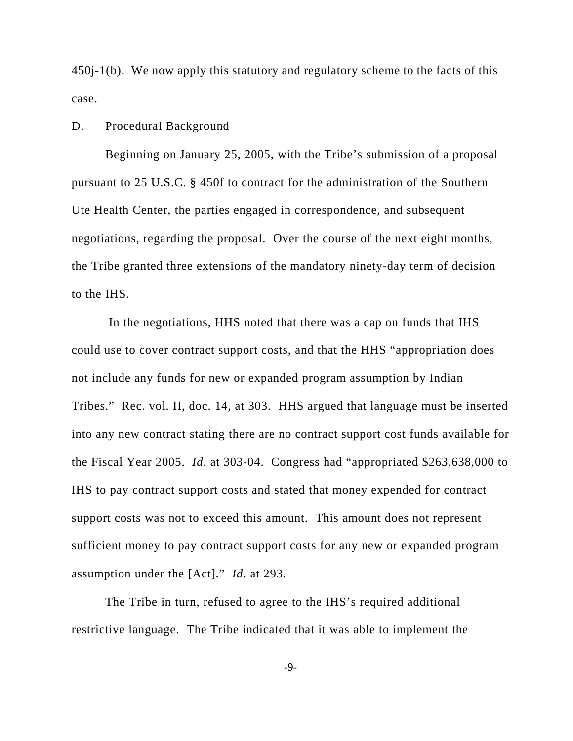450j-1(b). We now apply this statutory and regulatory scheme to the facts of this case.

#### D. Procedural Background

Beginning on January 25, 2005, with the Tribe's submission of a proposal pursuant to 25 U.S.C. § 450f to contract for the administration of the Southern Ute Health Center, the parties engaged in correspondence, and subsequent negotiations, regarding the proposal. Over the course of the next eight months, the Tribe granted three extensions of the mandatory ninety-day term of decision to the IHS.

 In the negotiations, HHS noted that there was a cap on funds that IHS could use to cover contract support costs, and that the HHS "appropriation does not include any funds for new or expanded program assumption by Indian Tribes." Rec. vol. II, doc. 14, at 303. HHS argued that language must be inserted into any new contract stating there are no contract support cost funds available for the Fiscal Year 2005. *Id*. at 303-04. Congress had "appropriated \$263,638,000 to IHS to pay contract support costs and stated that money expended for contract support costs was not to exceed this amount. This amount does not represent sufficient money to pay contract support costs for any new or expanded program assumption under the [Act]." *Id.* at 293*.*

The Tribe in turn, refused to agree to the IHS's required additional restrictive language. The Tribe indicated that it was able to implement the

-9-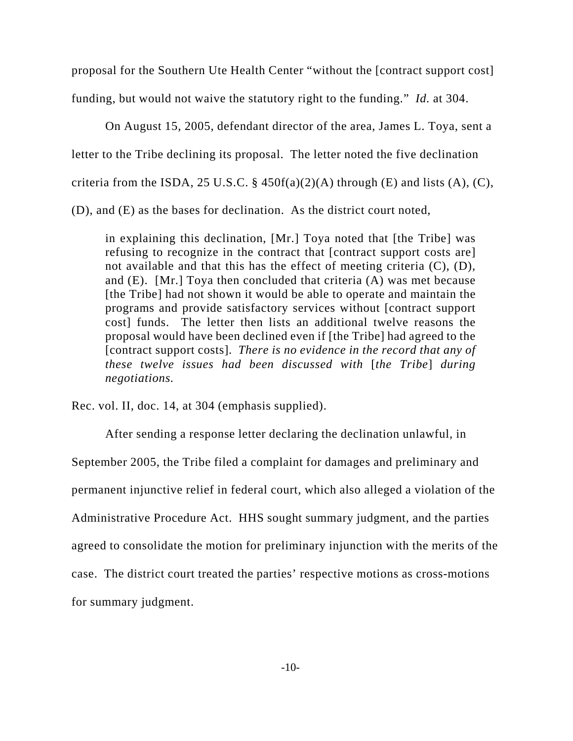proposal for the Southern Ute Health Center "without the [contract support cost] funding, but would not waive the statutory right to the funding." *Id.* at 304.

On August 15, 2005, defendant director of the area, James L. Toya, sent a letter to the Tribe declining its proposal. The letter noted the five declination criteria from the ISDA, 25 U.S.C.  $\S$  450f(a)(2)(A) through (E) and lists (A), (C), (D), and (E) as the bases for declination. As the district court noted,

in explaining this declination, [Mr.] Toya noted that [the Tribe] was refusing to recognize in the contract that [contract support costs are] not available and that this has the effect of meeting criteria (C), (D), and (E). [Mr.] Toya then concluded that criteria (A) was met because [the Tribe] had not shown it would be able to operate and maintain the programs and provide satisfactory services without [contract support cost] funds. The letter then lists an additional twelve reasons the proposal would have been declined even if [the Tribe] had agreed to the [contract support costs]. *There is no evidence in the record that any of these twelve issues had been discussed with* [*the Tribe*] *during negotiations.* 

Rec. vol. II, doc. 14, at 304 (emphasis supplied).

After sending a response letter declaring the declination unlawful, in September 2005, the Tribe filed a complaint for damages and preliminary and permanent injunctive relief in federal court, which also alleged a violation of the Administrative Procedure Act. HHS sought summary judgment, and the parties agreed to consolidate the motion for preliminary injunction with the merits of the case. The district court treated the parties' respective motions as cross-motions for summary judgment.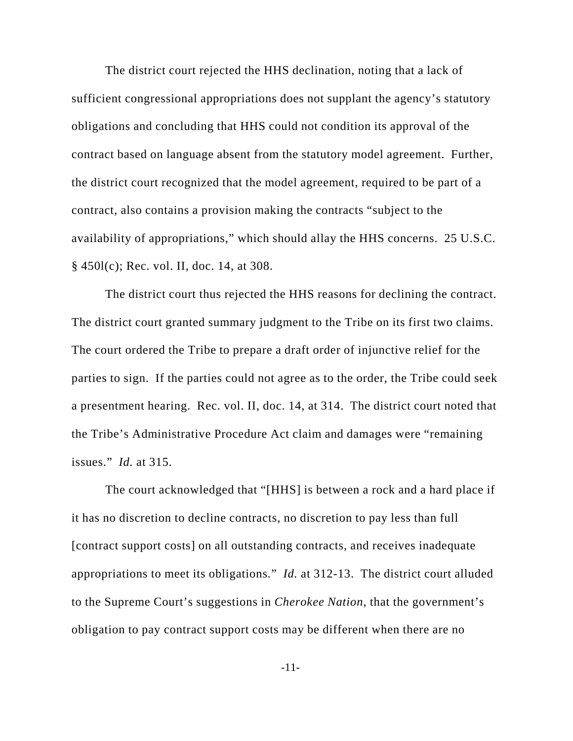The district court rejected the HHS declination, noting that a lack of sufficient congressional appropriations does not supplant the agency's statutory obligations and concluding that HHS could not condition its approval of the contract based on language absent from the statutory model agreement. Further, the district court recognized that the model agreement, required to be part of a contract, also contains a provision making the contracts "subject to the availability of appropriations," which should allay the HHS concerns. 25 U.S.C. § 450l(c); Rec. vol. II, doc. 14, at 308.

The district court thus rejected the HHS reasons for declining the contract. The district court granted summary judgment to the Tribe on its first two claims. The court ordered the Tribe to prepare a draft order of injunctive relief for the parties to sign. If the parties could not agree as to the order, the Tribe could seek a presentment hearing. Rec. vol. II, doc. 14, at 314. The district court noted that the Tribe's Administrative Procedure Act claim and damages were "remaining issues." *Id.* at 315.

The court acknowledged that "[HHS] is between a rock and a hard place if it has no discretion to decline contracts, no discretion to pay less than full [contract support costs] on all outstanding contracts, and receives inadequate appropriations to meet its obligations." *Id.* at 312-13. The district court alluded to the Supreme Court's suggestions in *Cherokee Nation*, that the government's obligation to pay contract support costs may be different when there are no

-11-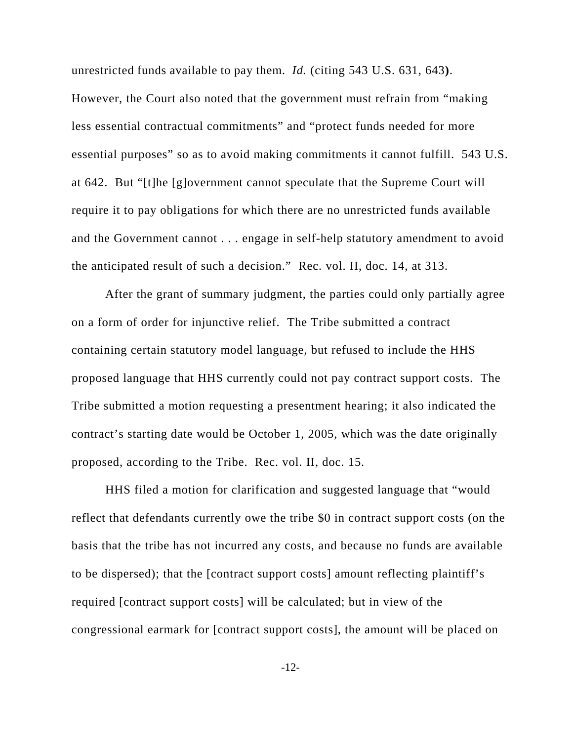unrestricted funds available to pay them. *Id.* (citing 543 U.S. 631, 643**)**. However, the Court also noted that the government must refrain from "making less essential contractual commitments" and "protect funds needed for more essential purposes" so as to avoid making commitments it cannot fulfill. 543 U.S. at 642. But "[t]he [g]overnment cannot speculate that the Supreme Court will require it to pay obligations for which there are no unrestricted funds available and the Government cannot . . . engage in self-help statutory amendment to avoid the anticipated result of such a decision." Rec. vol. II, doc. 14, at 313.

After the grant of summary judgment, the parties could only partially agree on a form of order for injunctive relief. The Tribe submitted a contract containing certain statutory model language, but refused to include the HHS proposed language that HHS currently could not pay contract support costs. The Tribe submitted a motion requesting a presentment hearing; it also indicated the contract's starting date would be October 1, 2005, which was the date originally proposed, according to the Tribe. Rec. vol. II, doc. 15.

HHS filed a motion for clarification and suggested language that "would reflect that defendants currently owe the tribe \$0 in contract support costs (on the basis that the tribe has not incurred any costs, and because no funds are available to be dispersed); that the [contract support costs] amount reflecting plaintiff's required [contract support costs] will be calculated; but in view of the congressional earmark for [contract support costs], the amount will be placed on

-12-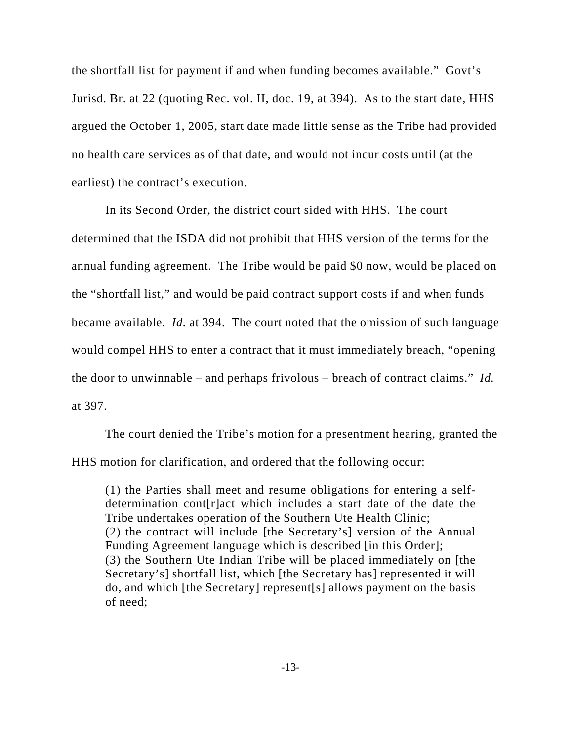the shortfall list for payment if and when funding becomes available." Govt's Jurisd. Br. at 22 (quoting Rec. vol. II, doc. 19, at 394). As to the start date, HHS argued the October 1, 2005, start date made little sense as the Tribe had provided no health care services as of that date, and would not incur costs until (at the earliest) the contract's execution.

In its Second Order, the district court sided with HHS. The court determined that the ISDA did not prohibit that HHS version of the terms for the annual funding agreement. The Tribe would be paid \$0 now, would be placed on the "shortfall list," and would be paid contract support costs if and when funds became available. *Id.* at 394. The court noted that the omission of such language would compel HHS to enter a contract that it must immediately breach, "opening the door to unwinnable – and perhaps frivolous – breach of contract claims." *Id.* at 397.

The court denied the Tribe's motion for a presentment hearing, granted the HHS motion for clarification, and ordered that the following occur:

(1) the Parties shall meet and resume obligations for entering a selfdetermination cont[r]act which includes a start date of the date the Tribe undertakes operation of the Southern Ute Health Clinic; (2) the contract will include [the Secretary's] version of the Annual Funding Agreement language which is described [in this Order]; (3) the Southern Ute Indian Tribe will be placed immediately on [the Secretary's] shortfall list, which [the Secretary has] represented it will do, and which [the Secretary] represent[s] allows payment on the basis of need;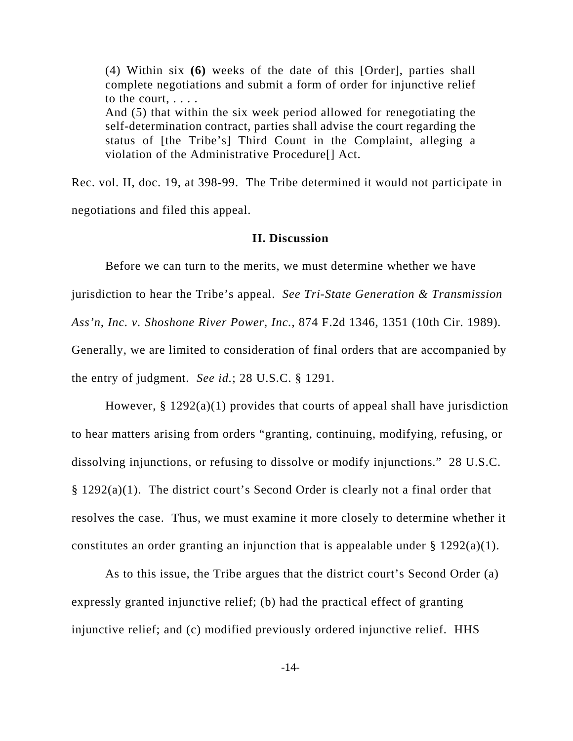(4) Within six **(6)** weeks of the date of this [Order], parties shall complete negotiations and submit a form of order for injunctive relief to the court, . . . . And (5) that within the six week period allowed for renegotiating the self-determination contract, parties shall advise the court regarding the status of [the Tribe's] Third Count in the Complaint, alleging a violation of the Administrative Procedure[] Act.

Rec. vol. II, doc. 19, at 398-99. The Tribe determined it would not participate in negotiations and filed this appeal.

#### **II. Discussion**

Before we can turn to the merits, we must determine whether we have jurisdiction to hear the Tribe's appeal. *See Tri-State Generation & Transmission Ass'n, Inc. v. Shoshone River Power, Inc.*, 874 F.2d 1346, 1351 (10th Cir. 1989)*.* Generally, we are limited to consideration of final orders that are accompanied by the entry of judgment. *See id.*; 28 U.S.C. § 1291.

However, § 1292(a)(1) provides that courts of appeal shall have jurisdiction to hear matters arising from orders "granting, continuing, modifying, refusing, or dissolving injunctions, or refusing to dissolve or modify injunctions." 28 U.S.C. § 1292(a)(1). The district court's Second Order is clearly not a final order that resolves the case. Thus, we must examine it more closely to determine whether it constitutes an order granting an injunction that is appealable under  $\S 1292(a)(1)$ .

As to this issue, the Tribe argues that the district court's Second Order (a) expressly granted injunctive relief; (b) had the practical effect of granting injunctive relief; and (c) modified previously ordered injunctive relief. HHS

-14-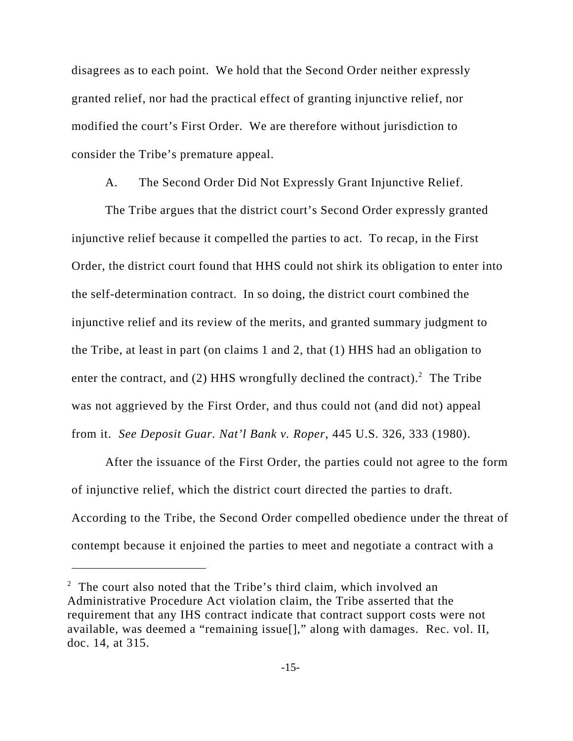disagrees as to each point. We hold that the Second Order neither expressly granted relief, nor had the practical effect of granting injunctive relief, nor modified the court's First Order. We are therefore without jurisdiction to consider the Tribe's premature appeal.

A. The Second Order Did Not Expressly Grant Injunctive Relief.

The Tribe argues that the district court's Second Order expressly granted injunctive relief because it compelled the parties to act. To recap, in the First Order, the district court found that HHS could not shirk its obligation to enter into the self-determination contract. In so doing, the district court combined the injunctive relief and its review of the merits, and granted summary judgment to the Tribe, at least in part (on claims 1 and 2, that (1) HHS had an obligation to enter the contract, and (2) HHS wrongfully declined the contract).<sup>2</sup> The Tribe was not aggrieved by the First Order, and thus could not (and did not) appeal from it. *See Deposit Guar. Nat'l Bank v. Roper*, 445 U.S. 326, 333 (1980).

After the issuance of the First Order, the parties could not agree to the form of injunctive relief, which the district court directed the parties to draft. According to the Tribe, the Second Order compelled obedience under the threat of contempt because it enjoined the parties to meet and negotiate a contract with a

<sup>&</sup>lt;sup>2</sup> The court also noted that the Tribe's third claim, which involved an Administrative Procedure Act violation claim, the Tribe asserted that the requirement that any IHS contract indicate that contract support costs were not available, was deemed a "remaining issue[]," along with damages. Rec. vol. II, doc. 14, at 315.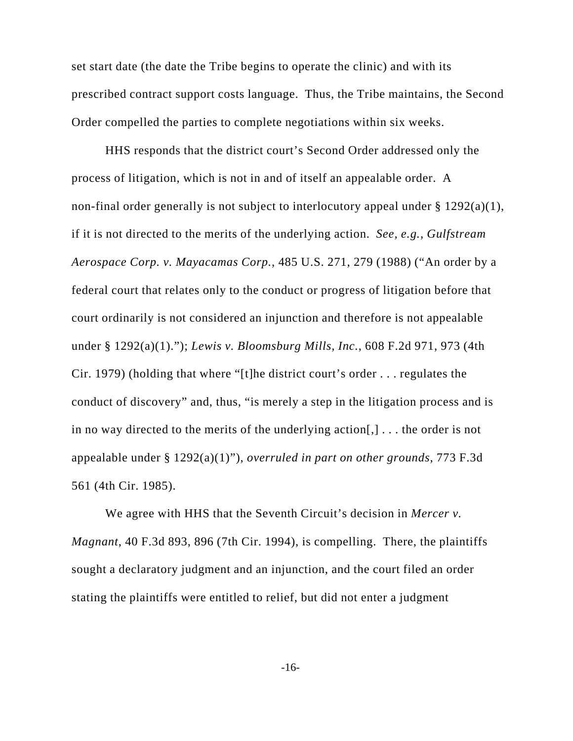set start date (the date the Tribe begins to operate the clinic) and with its prescribed contract support costs language. Thus, the Tribe maintains, the Second Order compelled the parties to complete negotiations within six weeks.

HHS responds that the district court's Second Order addressed only the process of litigation, which is not in and of itself an appealable order. A non-final order generally is not subject to interlocutory appeal under  $\S 1292(a)(1)$ , if it is not directed to the merits of the underlying action. *See, e.g., Gulfstream Aerospace Corp. v. Mayacamas Corp.*, 485 U.S. 271, 279 (1988) ("An order by a federal court that relates only to the conduct or progress of litigation before that court ordinarily is not considered an injunction and therefore is not appealable under § 1292(a)(1)."); *Lewis v. Bloomsburg Mills, Inc.*, 608 F.2d 971, 973 (4th Cir. 1979) (holding that where "[t]he district court's order . . . regulates the conduct of discovery" and, thus, "is merely a step in the litigation process and is in no way directed to the merits of the underlying action[,] . . . the order is not appealable under § 1292(a)(1)"), *overruled in part on other grounds*, 773 F.3d 561 (4th Cir. 1985).

We agree with HHS that the Seventh Circuit's decision in *Mercer v. Magnant*, 40 F.3d 893, 896 (7th Cir. 1994), is compelling. There, the plaintiffs sought a declaratory judgment and an injunction, and the court filed an order stating the plaintiffs were entitled to relief, but did not enter a judgment

-16-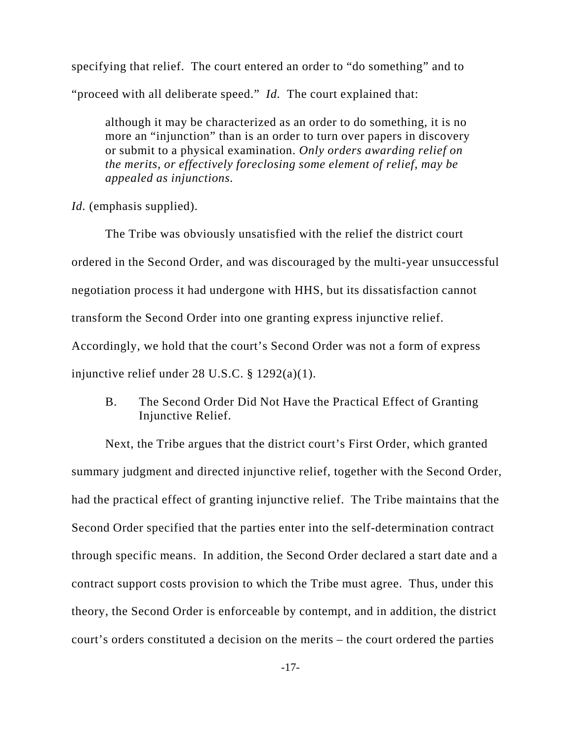specifying that relief. The court entered an order to "do something" and to "proceed with all deliberate speed." *Id.* The court explained that:

although it may be characterized as an order to do something, it is no more an "injunction" than is an order to turn over papers in discovery or submit to a physical examination. *Only orders awarding relief on the merits, or effectively foreclosing some element of relief, may be appealed as injunctions.*

*Id.* (emphasis supplied).

The Tribe was obviously unsatisfied with the relief the district court ordered in the Second Order, and was discouraged by the multi-year unsuccessful negotiation process it had undergone with HHS, but its dissatisfaction cannot transform the Second Order into one granting express injunctive relief. Accordingly, we hold that the court's Second Order was not a form of express injunctive relief under 28 U.S.C. § 1292(a)(1).

B. The Second Order Did Not Have the Practical Effect of Granting Injunctive Relief.

Next, the Tribe argues that the district court's First Order, which granted summary judgment and directed injunctive relief, together with the Second Order, had the practical effect of granting injunctive relief. The Tribe maintains that the Second Order specified that the parties enter into the self-determination contract through specific means. In addition, the Second Order declared a start date and a contract support costs provision to which the Tribe must agree. Thus, under this theory, the Second Order is enforceable by contempt, and in addition, the district court's orders constituted a decision on the merits – the court ordered the parties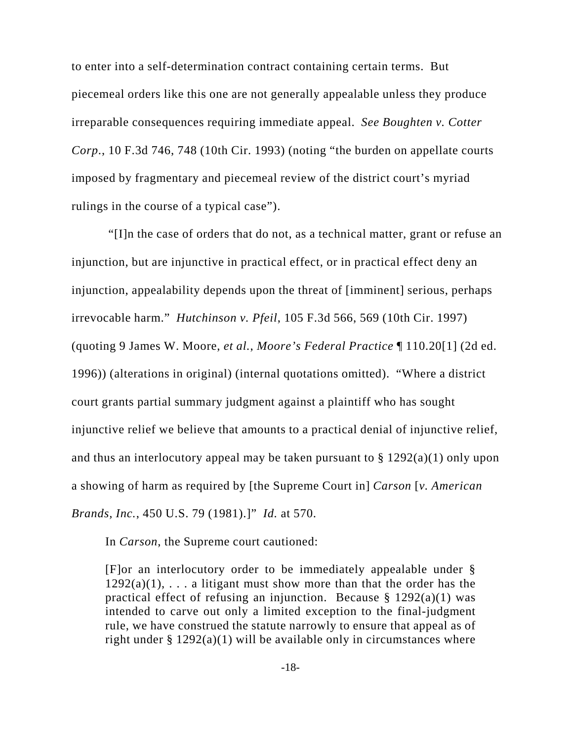to enter into a self-determination contract containing certain terms. But piecemeal orders like this one are not generally appealable unless they produce irreparable consequences requiring immediate appeal. *See Boughten v. Cotter Corp*., 10 F.3d 746, 748 (10th Cir. 1993) (noting "the burden on appellate courts imposed by fragmentary and piecemeal review of the district court's myriad rulings in the course of a typical case").

 "[I]n the case of orders that do not, as a technical matter, grant or refuse an injunction, but are injunctive in practical effect, or in practical effect deny an injunction, appealability depends upon the threat of [imminent] serious, perhaps irrevocable harm." *Hutchinson v. Pfeil*, 105 F.3d 566, 569 (10th Cir. 1997) (quoting 9 James W. Moore, *et al.*, *Moore's Federal Practice* ¶ 110.20[1] (2d ed. 1996)) (alterations in original) (internal quotations omitted). "Where a district court grants partial summary judgment against a plaintiff who has sought injunctive relief we believe that amounts to a practical denial of injunctive relief, and thus an interlocutory appeal may be taken pursuant to  $\S 1292(a)(1)$  only upon a showing of harm as required by [the Supreme Court in] *Carson* [*v. American Brands, Inc.*, 450 U.S. 79 (1981).]" *Id.* at 570.

In *Carson*, the Supreme court cautioned:

[F]or an interlocutory order to be immediately appealable under §  $1292(a)(1)$ , ... a litigant must show more than that the order has the practical effect of refusing an injunction. Because  $\S$  1292(a)(1) was intended to carve out only a limited exception to the final-judgment rule, we have construed the statute narrowly to ensure that appeal as of right under  $\S 1292(a)(1)$  will be available only in circumstances where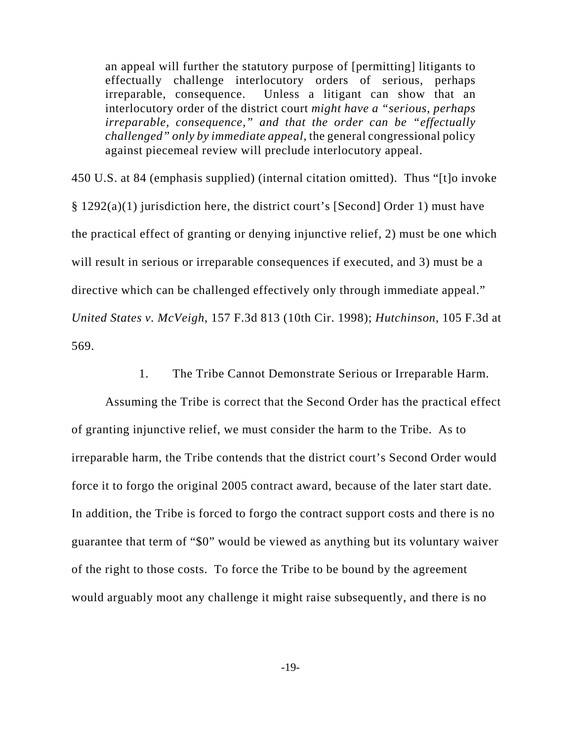an appeal will further the statutory purpose of [permitting] litigants to effectually challenge interlocutory orders of serious, perhaps irreparable, consequence. Unless a litigant can show that an interlocutory order of the district court *might have a "serious, perhaps irreparable, consequence," and that the order can be "effectually challenged" only by immediate appeal*, the general congressional policy against piecemeal review will preclude interlocutory appeal.

450 U.S. at 84 (emphasis supplied) (internal citation omitted). Thus "[t]o invoke § 1292(a)(1) jurisdiction here, the district court's [Second] Order 1) must have the practical effect of granting or denying injunctive relief, 2) must be one which will result in serious or irreparable consequences if executed, and 3) must be a directive which can be challenged effectively only through immediate appeal." *United States v. McVeigh*, 157 F.3d 813 (10th Cir. 1998); *Hutchinson*, 105 F.3d at 569.

1. The Tribe Cannot Demonstrate Serious or Irreparable Harm.

Assuming the Tribe is correct that the Second Order has the practical effect of granting injunctive relief, we must consider the harm to the Tribe. As to irreparable harm, the Tribe contends that the district court's Second Order would force it to forgo the original 2005 contract award, because of the later start date. In addition, the Tribe is forced to forgo the contract support costs and there is no guarantee that term of "\$0" would be viewed as anything but its voluntary waiver of the right to those costs. To force the Tribe to be bound by the agreement would arguably moot any challenge it might raise subsequently, and there is no

-19-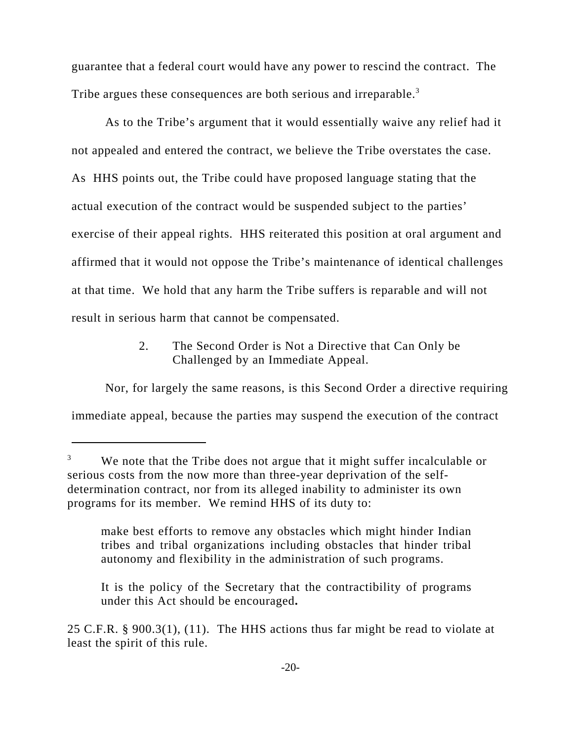guarantee that a federal court would have any power to rescind the contract. The Tribe argues these consequences are both serious and irreparable.<sup>3</sup>

As to the Tribe's argument that it would essentially waive any relief had it not appealed and entered the contract, we believe the Tribe overstates the case. As HHS points out, the Tribe could have proposed language stating that the actual execution of the contract would be suspended subject to the parties' exercise of their appeal rights. HHS reiterated this position at oral argument and affirmed that it would not oppose the Tribe's maintenance of identical challenges at that time. We hold that any harm the Tribe suffers is reparable and will not result in serious harm that cannot be compensated.

> 2. The Second Order is Not a Directive that Can Only be Challenged by an Immediate Appeal.

Nor, for largely the same reasons, is this Second Order a directive requiring immediate appeal, because the parties may suspend the execution of the contract

make best efforts to remove any obstacles which might hinder Indian tribes and tribal organizations including obstacles that hinder tribal autonomy and flexibility in the administration of such programs.

It is the policy of the Secretary that the contractibility of programs under this Act should be encouraged**.** 

We note that the Tribe does not argue that it might suffer incalculable or serious costs from the now more than three-year deprivation of the selfdetermination contract, nor from its alleged inability to administer its own programs for its member. We remind HHS of its duty to:

<sup>25</sup> C.F.R. § 900.3(1), (11). The HHS actions thus far might be read to violate at least the spirit of this rule.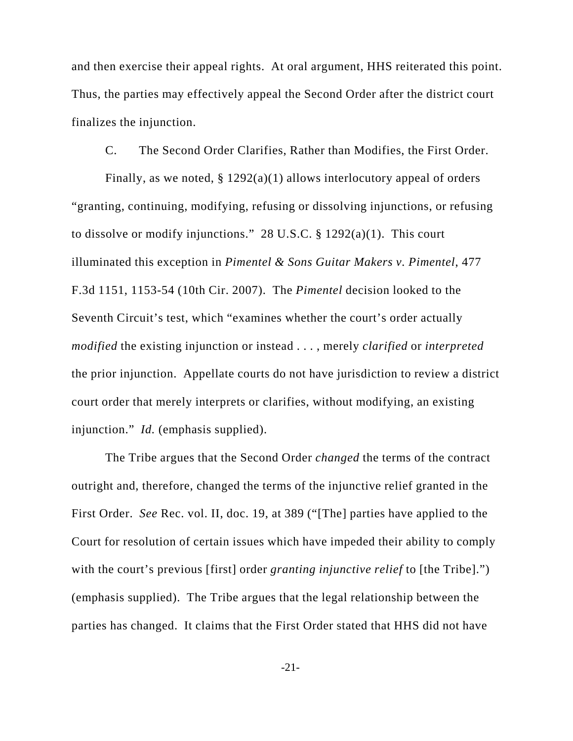and then exercise their appeal rights. At oral argument, HHS reiterated this point. Thus, the parties may effectively appeal the Second Order after the district court finalizes the injunction.

C. The Second Order Clarifies, Rather than Modifies, the First Order.

Finally, as we noted,  $\S 1292(a)(1)$  allows interlocutory appeal of orders "granting, continuing, modifying, refusing or dissolving injunctions, or refusing to dissolve or modify injunctions." 28 U.S.C.  $\S$  1292(a)(1). This court illuminated this exception in *Pimentel & Sons Guitar Makers v. Pimentel*, 477 F.3d 1151, 1153-54 (10th Cir. 2007). The *Pimentel* decision looked to the Seventh Circuit's test, which "examines whether the court's order actually *modified* the existing injunction or instead . . . , merely *clarified* or *interpreted* the prior injunction. Appellate courts do not have jurisdiction to review a district court order that merely interprets or clarifies, without modifying, an existing injunction." *Id.* (emphasis supplied).

The Tribe argues that the Second Order *changed* the terms of the contract outright and, therefore, changed the terms of the injunctive relief granted in the First Order. *See* Rec. vol. II, doc. 19, at 389 ("[The] parties have applied to the Court for resolution of certain issues which have impeded their ability to comply with the court's previous [first] order *granting injunctive relief* to [the Tribe].") (emphasis supplied). The Tribe argues that the legal relationship between the parties has changed. It claims that the First Order stated that HHS did not have

-21-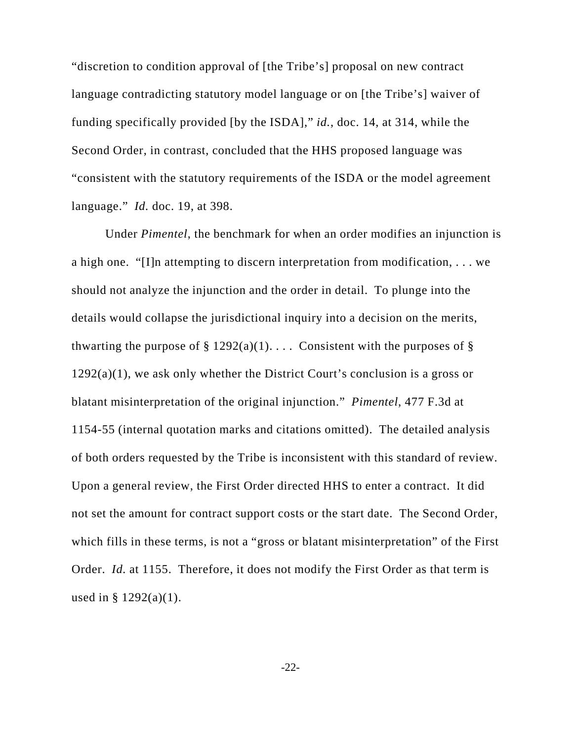"discretion to condition approval of [the Tribe's] proposal on new contract language contradicting statutory model language or on [the Tribe's] waiver of funding specifically provided [by the ISDA]," *id.*, doc. 14, at 314, while the Second Order, in contrast, concluded that the HHS proposed language was "consistent with the statutory requirements of the ISDA or the model agreement language." *Id.* doc. 19, at 398.

Under *Pimentel*, the benchmark for when an order modifies an injunction is a high one. "[I]n attempting to discern interpretation from modification, . . . we should not analyze the injunction and the order in detail. To plunge into the details would collapse the jurisdictional inquiry into a decision on the merits, thwarting the purpose of  $\S$  1292(a)(1).... Consistent with the purposes of  $\S$  $1292(a)(1)$ , we ask only whether the District Court's conclusion is a gross or blatant misinterpretation of the original injunction." *Pimentel*, 477 F.3d at 1154-55 (internal quotation marks and citations omitted). The detailed analysis of both orders requested by the Tribe is inconsistent with this standard of review. Upon a general review, the First Order directed HHS to enter a contract. It did not set the amount for contract support costs or the start date. The Second Order, which fills in these terms, is not a "gross or blatant misinterpretation" of the First Order. *Id.* at 1155. Therefore, it does not modify the First Order as that term is used in §  $1292(a)(1)$ .